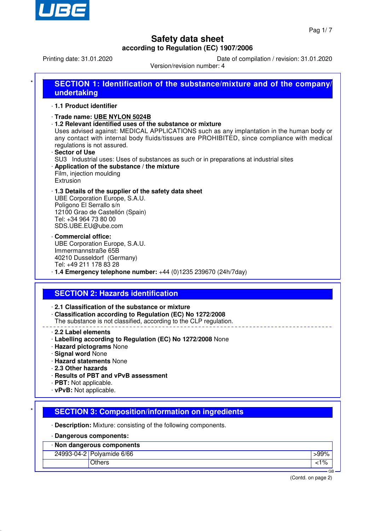

Printing date: 31.01.2020 Date of compilation / revision: 31.01.2020

Version/revision number: 4

| SECTION 1: Identification of the substance/mixture and of the company/                                                                                                                                                                                                                                                                                                                                                                                                                                                |
|-----------------------------------------------------------------------------------------------------------------------------------------------------------------------------------------------------------------------------------------------------------------------------------------------------------------------------------------------------------------------------------------------------------------------------------------------------------------------------------------------------------------------|
| undertaking                                                                                                                                                                                                                                                                                                                                                                                                                                                                                                           |
| 1.1 Product identifier                                                                                                                                                                                                                                                                                                                                                                                                                                                                                                |
| Trade name: UBE NYLON 5024B<br>1.2 Relevant identified uses of the substance or mixture<br>Uses advised against: MEDICAL APPLICATIONS such as any implantation in the human body or<br>any contact with internal body fluids/tissues are PROHIBITED, since compliance with medical<br>regulations is not assured.<br>· Sector of Use<br>SU3 Industrial uses: Uses of substances as such or in preparations at industrial sites<br>Application of the substance / the mixture<br>Film, injection moulding<br>Extrusion |
| 1.3 Details of the supplier of the safety data sheet<br>UBE Corporation Europe, S.A.U.<br>Polígono El Serrallo s/n<br>12100 Grao de Castellón (Spain)<br>Tel: +34 964 73 80 00<br>SDS.UBE.EU@ube.com                                                                                                                                                                                                                                                                                                                  |
| Commercial office:<br>UBE Corporation Europe, S.A.U.<br>Immermannstraße 65B<br>40210 Dusseldorf (Germany)<br>Tel: +49 211 178 83 28<br>$\cdot$ 1.4 Emergency telephone number: $+44$ (0)1235 239670 (24h/7day)                                                                                                                                                                                                                                                                                                        |
|                                                                                                                                                                                                                                                                                                                                                                                                                                                                                                                       |
| <b>SECTION 2: Hazards identification</b>                                                                                                                                                                                                                                                                                                                                                                                                                                                                              |
| 2.1 Classification of the substance or mixture<br>Classification according to Regulation (EC) No 1272/2008<br>The substance is not classified, according to the CLP regulation.                                                                                                                                                                                                                                                                                                                                       |
| 2.2 Label elements<br>· Labelling according to Regulation (EC) No 1272/2008 None<br>· Hazard pictograms None<br>· Signal word None                                                                                                                                                                                                                                                                                                                                                                                    |
| <b>Hazard statements None</b><br>2.3 Other hazards<br>· Results of PBT and vPvB assessment<br>· PBT: Not applicable.<br>· vPvB: Not applicable.                                                                                                                                                                                                                                                                                                                                                                       |
|                                                                                                                                                                                                                                                                                                                                                                                                                                                                                                                       |
| <b>SECTION 3: Composition/information on ingredients</b>                                                                                                                                                                                                                                                                                                                                                                                                                                                              |
| · Description: Mixture: consisting of the following components.                                                                                                                                                                                                                                                                                                                                                                                                                                                       |
| · Dangerous components:                                                                                                                                                                                                                                                                                                                                                                                                                                                                                               |
| · Non dangerous components                                                                                                                                                                                                                                                                                                                                                                                                                                                                                            |
| 24993-04-2 Polyamide 6/66<br>$>99\%$<br><b>Others</b><br>$1\%$                                                                                                                                                                                                                                                                                                                                                                                                                                                        |

(Contd. on page 2)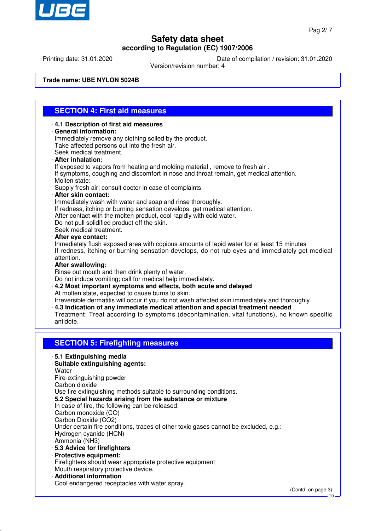

Printing date: 31.01.2020 Date of compilation / revision: 31.01.2020

Version/revision number: 4

**Trade name: UBE NYLON 5024B**

### **SECTION 4: First aid measures**

- · **4.1 Description of first aid measures** · **General information:** Immediately remove any clothing soiled by the product. Take affected persons out into the fresh air. Seek medical treatment. · **After inhalation:** If exposed to vapors from heating and molding material , remove to fresh air . If symptoms, coughing and discomfort in nose and throat remain, get medical attention. Molten state: Supply fresh air; consult doctor in case of complaints. · **After skin contact:** Immediately wash with water and soap and rinse thoroughly. If redness, itching or burning sensation develops, get medical attention. After contact with the molten product, cool rapidly with cold water. Do not pull solidified product off the skin. Seek medical treatment. · **After eye contact:** Inmediately flush exposed area with copious amounts of tepid water for at least 15 minutes If redness, itching or burning sensation develops, do not rub eyes and immediately get medical attention. · **After swallowing:** Rinse out mouth and then drink plenty of water. Do not induce vomiting; call for medical help immediately. · **4.2 Most important symptoms and effects, both acute and delayed** At molten state, expected to cause burns to skin. Irreversible dermatitis will occur if you do not wash affected skin immediately and thoroughly. · **4.3 Indication of any immediate medical attention and special treatment needed** Treatment: Treat according to symptoms (decontamination, vital functions), no known specific antidote. **SECTION 5: Firefighting measures**
	- · **5.1 Extinguishing media**
	- · **Suitable extinguishing agents:**

**Water** Fire-extinguishing powder Carbon dioxide Use fire extinguishing methods suitable to surrounding conditions. · **5.2 Special hazards arising from the substance or mixture** In case of fire, the following can be released: Carbon monoxide (CO) Carbon Dioxide (CO2) Under certain fire conditions, traces of other toxic gases cannot be excluded, e.g.: Hydrogen cyanide (HCN) Ammonia (NH3) · **5.3 Advice for firefighters** · **Protective equipment:** Firefighters should wear appropriate protective equipment

- Mouth respiratory protective device.
- · **Additional information**
- Cool endangered receptacles with water spray.

GB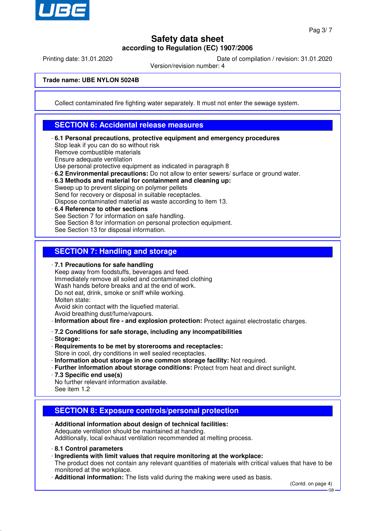

Printing date: 31.01.2020 Date of compilation / revision: 31.01.2020

Version/revision number: 4

**Trade name: UBE NYLON 5024B**

Collect contaminated fire fighting water separately. It must not enter the sewage system.

#### **SECTION 6: Accidental release measures**

- · **6.1 Personal precautions, protective equipment and emergency procedures** Stop leak if you can do so without risk Remove combustible materials Ensure adequate ventilation Use personal protective equipment as indicated in paragraph 8
- · **6.2 Environmental precautions:** Do not allow to enter sewers/ surface or ground water.
- · **6.3 Methods and material for containment and cleaning up:**

Sweep up to prevent slipping on polymer pellets Send for recovery or disposal in suitable receptacles.

- Dispose contaminated material as waste according to item 13.
- · **6.4 Reference to other sections** See Section 7 for information on safe handling. See Section 8 for information on personal protection equipment. See Section 13 for disposal information.

### **SECTION 7: Handling and storage**

· **7.1 Precautions for safe handling**

Keep away from foodstuffs, beverages and feed. Immediately remove all soiled and contaminated clothing Wash hands before breaks and at the end of work. Do not eat, drink, smoke or sniff while working. Molten state: Avoid skin contact with the liquefied material.

Avoid breathing dust/fume/vapours.

- · **Information about fire and explosion protection:** Protect against electrostatic charges.
- · **7.2 Conditions for safe storage, including any incompatibilities**
- · **Storage:**
- · **Requirements to be met by storerooms and receptacles:**
- Store in cool, dry conditions in well sealed receptacles.
- · **Information about storage in one common storage facility:** Not required.
- · **Further information about storage conditions:** Protect from heat and direct sunlight.
- · **7.3 Specific end use(s)**
- No further relevant information available.
- See item 1.2

### **SECTION 8: Exposure controls/personal protection**

- · **Additional information about design of technical facilities:** Adequate ventilation should be maintained at handing. Additionally, local exhaust ventilation recommended at melting process.
- · **8.1 Control parameters**
- · **Ingredients with limit values that require monitoring at the workplace:**

The product does not contain any relevant quantities of materials with critical values that have to be monitored at the workplace.

· **Additional information:** The lists valid during the making were used as basis.

(Contd. on page 4)

GB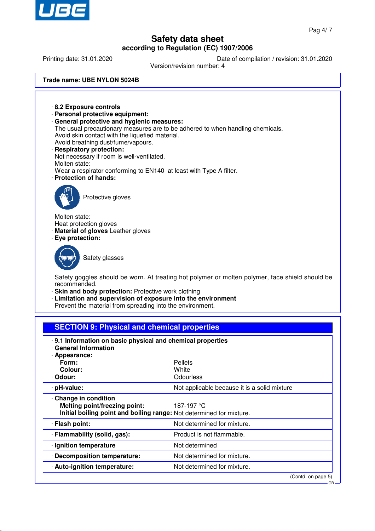

GB

# **Safety data sheet according to Regulation (EC) 1907/2006**

Printing date: 31.01.2020 Date of compilation / revision: 31.01.2020

Version/revision number: 4

**Trade name: UBE NYLON 5024B**



| Colour:<br>· Odour:                                                                                                                        | White<br>Odourless                           |  |  |  |
|--------------------------------------------------------------------------------------------------------------------------------------------|----------------------------------------------|--|--|--|
| · pH-value:                                                                                                                                | Not applicable because it is a solid mixture |  |  |  |
| Change in condition<br>Melting point/freezing point:<br>187-197 °C<br>Initial boiling point and boiling range: Not determined for mixture. |                                              |  |  |  |
| · Flash point:                                                                                                                             | Not determined for mixture.                  |  |  |  |
| · Flammability (solid, gas):                                                                                                               | Product is not flammable.                    |  |  |  |
| · Ignition temperature                                                                                                                     | Not determined                               |  |  |  |
| Decomposition temperature:                                                                                                                 | Not determined for mixture.                  |  |  |  |
| · Auto-ignition temperature:                                                                                                               | Not determined for mixture.                  |  |  |  |
|                                                                                                                                            | (Contd. on page 5)                           |  |  |  |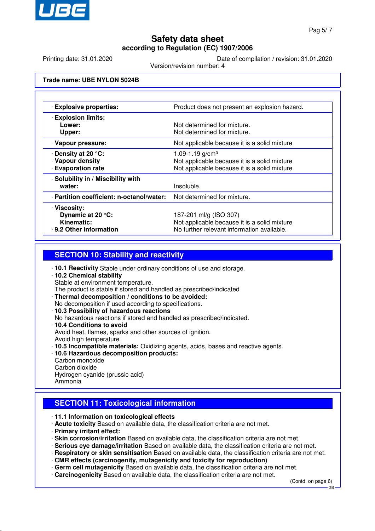

Printing date: 31.01.2020 Date of compilation / revision: 31.01.2020

Version/revision number: 4

**Trade name: UBE NYLON 5024B**

| · Explosive properties:                                                  |                                               |  |
|--------------------------------------------------------------------------|-----------------------------------------------|--|
|                                                                          | Product does not present an explosion hazard. |  |
| <b>Explosion limits:</b>                                                 |                                               |  |
| Not determined for mixture.<br>Lower:                                    |                                               |  |
| Upper:<br>Not determined for mixture.                                    |                                               |  |
| · Vapour pressure:                                                       | Not applicable because it is a solid mixture  |  |
| ⋅ Density at 20 °C:<br>1.09-1.19 $g/cm3$                                 |                                               |  |
| · Vapour density                                                         | Not applicable because it is a solid mixture  |  |
| <b>Evaporation rate</b>                                                  | Not applicable because it is a solid mixture  |  |
| · Solubility in / Miscibility with                                       |                                               |  |
| Insoluble.<br>water:                                                     |                                               |  |
| · Partition coefficient: n-octanol/water:<br>Not determined for mixture. |                                               |  |
| · Viscosity:                                                             |                                               |  |
| Dynamic at 20 °C:<br>187-201 ml/g (ISO 307)                              |                                               |  |
| Kinematic:                                                               | Not applicable because it is a solid mixture  |  |
| 9.2 Other information                                                    | No further relevant information available.    |  |

### **SECTION 10: Stability and reactivity**

- · **10.1 Reactivity** Stable under ordinary conditions of use and storage.
- · **10.2 Chemical stability** Stable at environment temperature.
- The product is stable if stored and handled as prescribed/indicated
- · **Thermal decomposition / conditions to be avoided:**
- No decomposition if used according to specifications.
- · **10.3 Possibility of hazardous reactions**
- No hazardous reactions if stored and handled as prescribed/indicated.
- · **10.4 Conditions to avoid**
- Avoid heat, flames, sparks and other sources of ignition.
- Avoid high temperature
- · **10.5 Incompatible materials:** Oxidizing agents, acids, bases and reactive agents.
- · **10.6 Hazardous decomposition products:**
- Carbon monoxide Carbon dioxide Hydrogen cyanide (prussic acid) Ammonia

### **SECTION 11: Toxicological information**

· **11.1 Information on toxicological effects**

- · **Acute toxicity** Based on available data, the classification criteria are not met.
- · **Primary irritant effect:**
- · **Skin corrosion/irritation** Based on available data, the classification criteria are not met.
- · **Serious eye damage/irritation** Based on available data, the classification criteria are not met.
- · **Respiratory or skin sensitisation** Based on available data, the classification criteria are not met.
- · **CMR effects (carcinogenity, mutagenicity and toxicity for reproduction)**
- · **Germ cell mutagenicity** Based on available data, the classification criteria are not met.
- · **Carcinogenicity** Based on available data, the classification criteria are not met.

(Contd. on page 6)

GB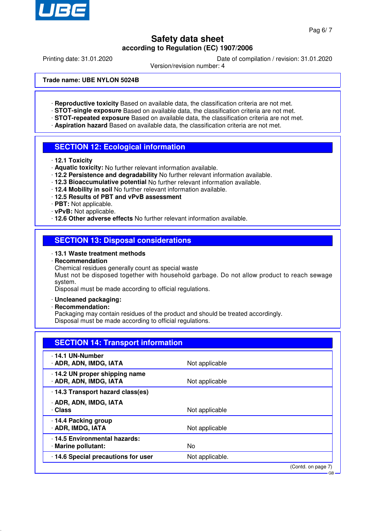

Printing date: 31.01.2020 Date of compilation / revision: 31.01.2020

Version/revision number: 4

**Trade name: UBE NYLON 5024B**

- · **Reproductive toxicity** Based on available data, the classification criteria are not met.
- · **STOT-single exposure** Based on available data, the classification criteria are not met.
- · **STOT-repeated exposure** Based on available data, the classification criteria are not met.
- · **Aspiration hazard** Based on available data, the classification criteria are not met.

#### **SECTION 12: Ecological information**

- · **12.1 Toxicity**
- · **Aquatic toxicity:** No further relevant information available.
- · **12.2 Persistence and degradability** No further relevant information available.
- · **12.3 Bioaccumulative potential** No further relevant information available.
- · **12.4 Mobility in soil** No further relevant information available.
- · **12.5 Results of PBT and vPvB assessment**
- · **PBT:** Not applicable.
- · **vPvB:** Not applicable.
- · **12.6 Other adverse effects** No further relevant information available.

#### **SECTION 13: Disposal considerations**

#### · **13.1 Waste treatment methods**

· **Recommendation**

Chemical residues generally count as special waste

Must not be disposed together with household garbage. Do not allow product to reach sewage system.

Disposal must be made according to official regulations.

- · **Uncleaned packaging:**
- · **Recommendation:**

Packaging may contain residues of the product and should be treated accordingly. Disposal must be made according to official regulations.

| <b>SECTION 14: Transport information</b>               |                 |                              |  |
|--------------------------------------------------------|-----------------|------------------------------|--|
| 14.1 UN-Number<br>· ADR, ADN, IMDG, IATA               | Not applicable  |                              |  |
| 14.2 UN proper shipping name<br>· ADR, ADN, IMDG, IATA | Not applicable  |                              |  |
| 14.3 Transport hazard class(es)                        |                 |                              |  |
| · ADR, ADN, IMDG, IATA<br>· Class                      | Not applicable  |                              |  |
| 14.4 Packing group<br>· ADR, IMDG, IATA                | Not applicable  |                              |  |
| 14.5 Environmental hazards:<br>· Marine pollutant:     | No              |                              |  |
| 14.6 Special precautions for user                      | Not applicable. |                              |  |
|                                                        |                 | (Contd. on page 7)<br>$GB -$ |  |